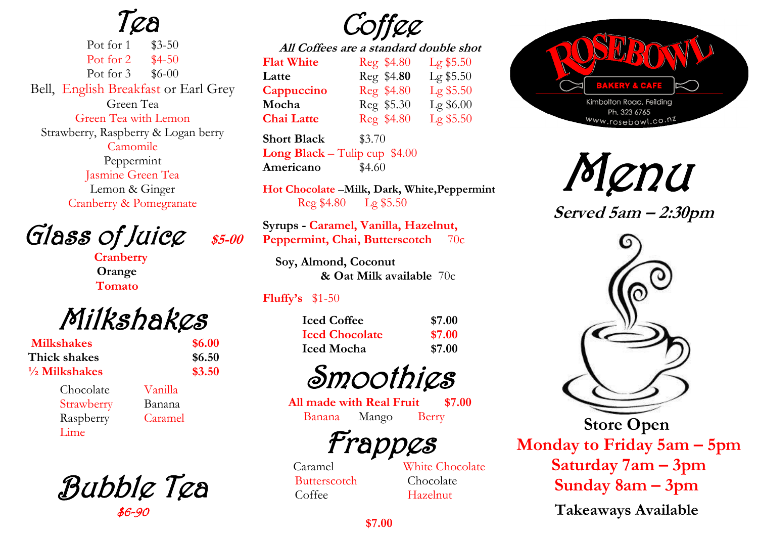Tea

Pot for 1 \$3-50 Pot for 2 \$4-50 Pot for 3 \$6-00 Bell, English Breakfast or Earl Grey Green Tea Green Tea with Lemon Strawberry, Raspberry & Logan berry Camomile Peppermint Jasmine Green Tea Lemon & Ginger Cranberry & Pomegranate

Glass of Juice \$5-00

 **Cranberry Orange Tomato** 

Milkshakes

| <b>Milkshakes</b>        |  |
|--------------------------|--|
| Thick shakes             |  |
| $\frac{1}{2}$ Milkshakes |  |

 Chocolate Vanilla Strawberry Banana Raspberry Caramel Lime

 **Milkshakes \$6.00 Thick shakes \$6.50 \$3.50** 

Bubble Tea \$6-90

Coffee

**All Coffees are a standard double shot Flat White** Reg \$4.80 Lg \$5.50 **Latte** Reg \$4.**80** Lg \$5.50 **Cappuccino** Reg \$4.80 Lg \$5.50 **Mocha** Reg \$5.30 Lg \$6.00 **Chai Latte** Reg \$4.80 Lg \$5.50

**Short Black** \$3.70 **Long Black** – Tulip cup \$4.00 **Americano** \$4.60

**Hot Chocolate** –**Milk, Dark, White,Peppermint** Reg \$4.80 Lg \$5.50

**Syrups - Caramel, Vanilla, Hazelnut, Peppermint, Chai, Butterscotch** 70c

**Soy, Almond, Coconut & Oat Milk available** 70c

#### **Fluffy's** \$1-50

| <b>Iced Coffee</b><br><b>Iced Chocolate</b><br><b>Iced Mocha</b> | \$7.00 |  |
|------------------------------------------------------------------|--------|--|
|                                                                  | \$7.00 |  |
|                                                                  | \$7.00 |  |

Smoothies

**All made with Real Fruit \$7.00** Banana Mango Berry

Frappes

Butterscotch Chocolate Coffee Hazelnut

Caramel White Chocolate



Menu

 **Served 5am – 2:30pm**



**Store Open Monday to Friday 5am – 5pm Saturday 7am – 3pm Sunday 8am – 3pm Takeaways Available**

**\$7.00**